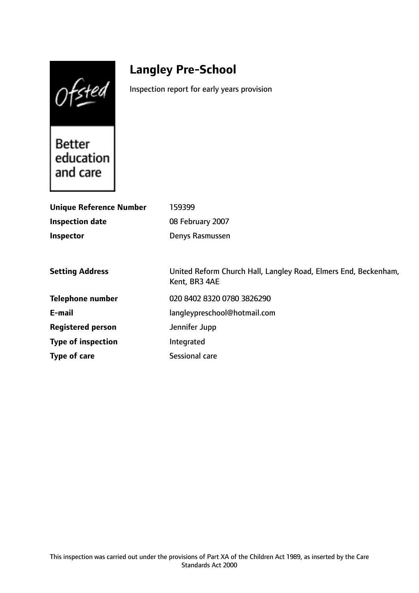Ofsted

# **Langley Pre-School**

Inspection report for early years provision

**Better** education and care

| <b>Unique Reference Number</b> | 159399                                                                           |
|--------------------------------|----------------------------------------------------------------------------------|
| <b>Inspection date</b>         | 08 February 2007                                                                 |
| Inspector                      | Denys Rasmussen                                                                  |
|                                |                                                                                  |
| <b>Setting Address</b>         | United Reform Church Hall, Langley Road, Elmers End, Beckenham,<br>Kent, BR3 4AE |
| Telephone number               | 020 8402 8320 0780 3826290                                                       |
| E-mail                         | langleypreschool@hotmail.com                                                     |
| <b>Registered person</b>       | Jennifer Jupp                                                                    |
| <b>Type of inspection</b>      | Integrated                                                                       |
| Type of care                   | <b>Sessional care</b>                                                            |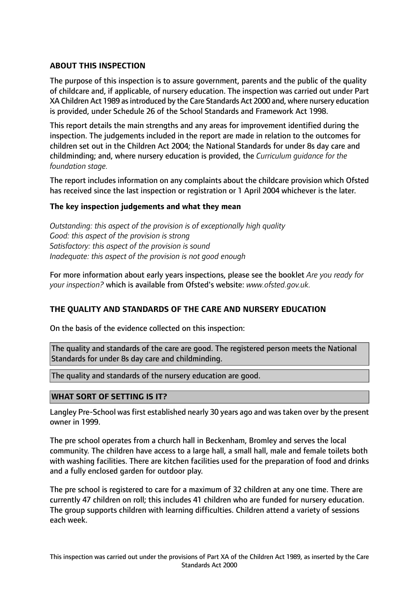# **ABOUT THIS INSPECTION**

The purpose of this inspection is to assure government, parents and the public of the quality of childcare and, if applicable, of nursery education. The inspection was carried out under Part XA Children Act 1989 asintroduced by the Care Standards Act 2000 and, where nursery education is provided, under Schedule 26 of the School Standards and Framework Act 1998.

This report details the main strengths and any areas for improvement identified during the inspection. The judgements included in the report are made in relation to the outcomes for children set out in the Children Act 2004; the National Standards for under 8s day care and childminding; and, where nursery education is provided, the *Curriculum guidance for the foundation stage.*

The report includes information on any complaints about the childcare provision which Ofsted has received since the last inspection or registration or 1 April 2004 whichever is the later.

## **The key inspection judgements and what they mean**

*Outstanding: this aspect of the provision is of exceptionally high quality Good: this aspect of the provision is strong Satisfactory: this aspect of the provision is sound Inadequate: this aspect of the provision is not good enough*

For more information about early years inspections, please see the booklet *Are you ready for your inspection?* which is available from Ofsted's website: *www.ofsted.gov.uk.*

## **THE QUALITY AND STANDARDS OF THE CARE AND NURSERY EDUCATION**

On the basis of the evidence collected on this inspection:

The quality and standards of the care are good. The registered person meets the National Standards for under 8s day care and childminding.

The quality and standards of the nursery education are good.

## **WHAT SORT OF SETTING IS IT?**

Langley Pre-School was first established nearly 30 years ago and was taken over by the present owner in 1999.

The pre school operates from a church hall in Beckenham, Bromley and serves the local community. The children have access to a large hall, a small hall, male and female toilets both with washing facilities. There are kitchen facilities used for the preparation of food and drinks and a fully enclosed garden for outdoor play.

The pre school is registered to care for a maximum of 32 children at any one time. There are currently 47 children on roll; this includes 41 children who are funded for nursery education. The group supports children with learning difficulties. Children attend a variety of sessions each week.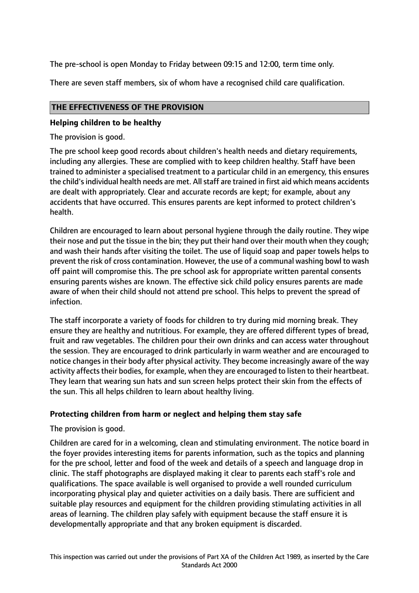The pre-school is open Monday to Friday between 09:15 and 12:00, term time only.

There are seven staff members, six of whom have a recognised child care qualification.

## **THE EFFECTIVENESS OF THE PROVISION**

## **Helping children to be healthy**

The provision is good.

The pre school keep good records about children's health needs and dietary requirements, including any allergies. These are complied with to keep children healthy. Staff have been trained to administer a specialised treatment to a particular child in an emergency, this ensures the child's individual health needs are met. All staff are trained in first aid which means accidents are dealt with appropriately. Clear and accurate records are kept; for example, about any accidents that have occurred. This ensures parents are kept informed to protect children's health.

Children are encouraged to learn about personal hygiene through the daily routine. They wipe their nose and put the tissue in the bin; they put their hand over their mouth when they cough; and wash their hands after visiting the toilet. The use of liquid soap and paper towels helps to prevent the risk of cross contamination. However, the use of a communal washing bowl to wash off paint will compromise this. The pre school ask for appropriate written parental consents ensuring parents wishes are known. The effective sick child policy ensures parents are made aware of when their child should not attend pre school. This helps to prevent the spread of infection.

The staff incorporate a variety of foods for children to try during mid morning break. They ensure they are healthy and nutritious. For example, they are offered different types of bread, fruit and raw vegetables. The children pour their own drinks and can access water throughout the session. They are encouraged to drink particularly in warm weather and are encouraged to notice changes in their body after physical activity. They become increasingly aware of the way activity affects their bodies, for example, when they are encouraged to listen to their heartbeat. They learn that wearing sun hats and sun screen helps protect their skin from the effects of the sun. This all helps children to learn about healthy living.

## **Protecting children from harm or neglect and helping them stay safe**

The provision is good.

Children are cared for in a welcoming, clean and stimulating environment. The notice board in the foyer provides interesting items for parents information, such as the topics and planning for the pre school, letter and food of the week and details of a speech and language drop in clinic. The staff photographs are displayed making it clear to parents each staff's role and qualifications. The space available is well organised to provide a well rounded curriculum incorporating physical play and quieter activities on a daily basis. There are sufficient and suitable play resources and equipment for the children providing stimulating activities in all areas of learning. The children play safely with equipment because the staff ensure it is developmentally appropriate and that any broken equipment is discarded.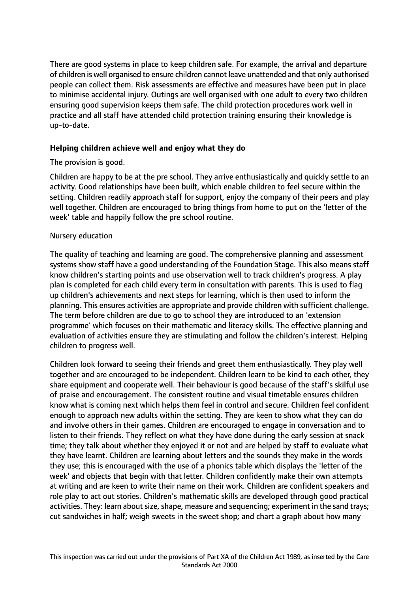There are good systems in place to keep children safe. For example, the arrival and departure of children is well organised to ensure children cannot leave unattended and that only authorised people can collect them. Risk assessments are effective and measures have been put in place to minimise accidental injury. Outings are well organised with one adult to every two children ensuring good supervision keeps them safe. The child protection procedures work well in practice and all staff have attended child protection training ensuring their knowledge is up-to-date.

## **Helping children achieve well and enjoy what they do**

## The provision is good.

Children are happy to be at the pre school. They arrive enthusiastically and quickly settle to an activity. Good relationships have been built, which enable children to feel secure within the setting. Children readily approach staff for support, enjoy the company of their peers and play well together. Children are encouraged to bring things from home to put on the 'letter of the week' table and happily follow the pre school routine.

## Nursery education

The quality of teaching and learning are good. The comprehensive planning and assessment systems show staff have a good understanding of the Foundation Stage. This also means staff know children's starting points and use observation well to track children's progress. A play plan is completed for each child every term in consultation with parents. This is used to flag up children's achievements and next steps for learning, which is then used to inform the planning. This ensures activities are appropriate and provide children with sufficient challenge. The term before children are due to go to school they are introduced to an 'extension programme' which focuses on their mathematic and literacy skills. The effective planning and evaluation of activities ensure they are stimulating and follow the children's interest. Helping children to progress well.

Children look forward to seeing their friends and greet them enthusiastically. They play well together and are encouraged to be independent. Children learn to be kind to each other, they share equipment and cooperate well. Their behaviour is good because of the staff's skilful use of praise and encouragement. The consistent routine and visual timetable ensures children know what is coming next which helps them feel in control and secure. Children feel confident enough to approach new adults within the setting. They are keen to show what they can do and involve others in their games. Children are encouraged to engage in conversation and to listen to their friends. They reflect on what they have done during the early session at snack time; they talk about whether they enjoyed it or not and are helped by staff to evaluate what they have learnt. Children are learning about letters and the sounds they make in the words they use; this is encouraged with the use of a phonics table which displays the 'letter of the week' and objects that begin with that letter. Children confidently make their own attempts at writing and are keen to write their name on their work. Children are confident speakers and role play to act out stories. Children's mathematic skills are developed through good practical activities. They: learn about size, shape, measure and sequencing; experiment in the sand trays; cut sandwiches in half; weigh sweets in the sweet shop; and chart a graph about how many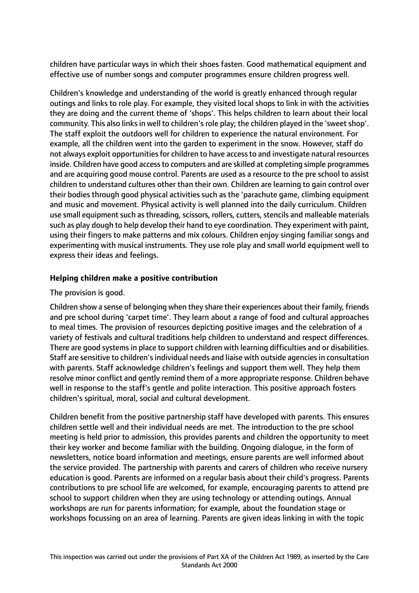children have particular ways in which their shoes fasten. Good mathematical equipment and effective use of number songs and computer programmes ensure children progress well.

Children's knowledge and understanding of the world is greatly enhanced through regular outings and links to role play. For example, they visited local shops to link in with the activities they are doing and the current theme of 'shops'. This helps children to learn about their local community. This also links in well to children's role play; the children played in the 'sweet shop'. The staff exploit the outdoors well for children to experience the natural environment. For example, all the children went into the garden to experiment in the snow. However, staff do not always exploit opportunities for children to have access to and investigate natural resources inside. Children have good access to computers and are skilled at completing simple programmes and are acquiring good mouse control. Parents are used as a resource to the pre school to assist children to understand cultures other than their own. Children are learning to gain control over their bodies through good physical activities such as the 'parachute game, climbing equipment and music and movement. Physical activity is well planned into the daily curriculum. Children use small equipment such as threading, scissors, rollers, cutters, stencils and malleable materials such as play dough to help develop their hand to eye coordination. They experiment with paint, using their fingers to make patterns and mix colours. Children enjoy singing familiar songs and experimenting with musical instruments. They use role play and small world equipment well to express their ideas and feelings.

# **Helping children make a positive contribution**

## The provision is good.

Children show a sense of belonging when they share their experiences about their family, friends and pre school during 'carpet time'. They learn about a range of food and cultural approaches to meal times. The provision of resources depicting positive images and the celebration of a variety of festivals and cultural traditions help children to understand and respect differences. There are good systems in place to support children with learning difficulties and or disabilities. Staff are sensitive to children's individual needs and liaise with outside agencies in consultation with parents. Staff acknowledge children's feelings and support them well. They help them resolve minor conflict and gently remind them of a more appropriate response. Children behave well in response to the staff's gentle and polite interaction. This positive approach fosters children's spiritual, moral, social and cultural development.

Children benefit from the positive partnership staff have developed with parents. This ensures children settle well and their individual needs are met. The introduction to the pre school meeting is held prior to admission, this provides parents and children the opportunity to meet their key worker and become familiar with the building. Ongoing dialogue, in the form of newsletters, notice board information and meetings, ensure parents are well informed about the service provided. The partnership with parents and carers of children who receive nursery education is good. Parents are informed on a regular basis about their child's progress. Parents contributions to pre school life are welcomed, for example, encouraging parents to attend pre school to support children when they are using technology or attending outings. Annual workshops are run for parents information; for example, about the foundation stage or workshops focussing on an area of learning. Parents are given ideas linking in with the topic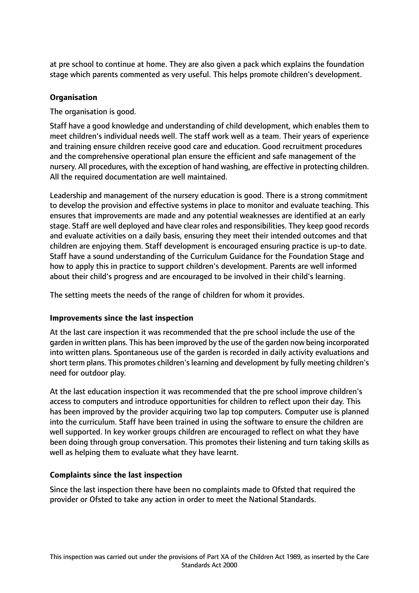at pre school to continue at home. They are also given a pack which explains the foundation stage which parents commented as very useful. This helps promote children's development.

## **Organisation**

The organisation is good.

Staff have a good knowledge and understanding of child development, which enables them to meet children's individual needs well. The staff work well as a team. Their years of experience and training ensure children receive good care and education. Good recruitment procedures and the comprehensive operational plan ensure the efficient and safe management of the nursery. All procedures, with the exception of hand washing, are effective in protecting children. All the required documentation are well maintained.

Leadership and management of the nursery education is good. There is a strong commitment to develop the provision and effective systems in place to monitor and evaluate teaching. This ensures that improvements are made and any potential weaknesses are identified at an early stage. Staff are well deployed and have clear roles and responsibilities. They keep good records and evaluate activities on a daily basis, ensuring they meet their intended outcomes and that children are enjoying them. Staff development is encouraged ensuring practice is up-to date. Staff have a sound understanding of the Curriculum Guidance for the Foundation Stage and how to apply this in practice to support children's development. Parents are well informed about their child's progress and are encouraged to be involved in their child's learning.

The setting meets the needs of the range of children for whom it provides.

## **Improvements since the last inspection**

At the last care inspection it was recommended that the pre school include the use of the garden in written plans. This has been improved by the use of the garden now being incorporated into written plans. Spontaneous use of the garden is recorded in daily activity evaluations and short term plans. This promotes children's learning and development by fully meeting children's need for outdoor play.

At the last education inspection it was recommended that the pre school improve children's access to computers and introduce opportunities for children to reflect upon their day. This has been improved by the provider acquiring two lap top computers. Computer use is planned into the curriculum. Staff have been trained in using the software to ensure the children are well supported. In key worker groups children are encouraged to reflect on what they have been doing through group conversation. This promotes their listening and turn taking skills as well as helping them to evaluate what they have learnt.

## **Complaints since the last inspection**

Since the last inspection there have been no complaints made to Ofsted that required the provider or Ofsted to take any action in order to meet the National Standards.